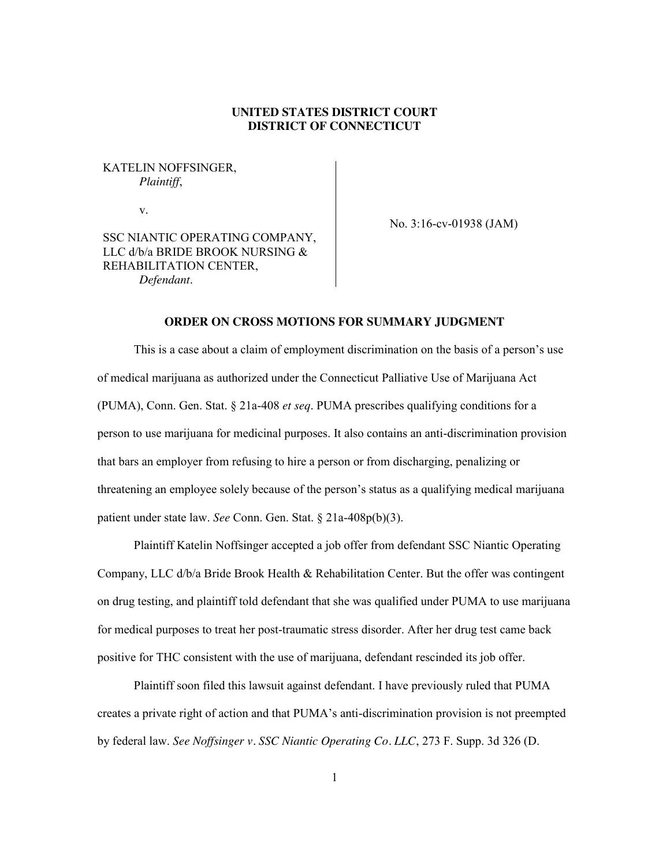# **UNITED STATES DISTRICT COURT DISTRICT OF CONNECTICUT**

# KATELIN NOFFSINGER, *Plaintiff*,

v.

No. 3:16-cv-01938 (JAM)

SSC NIANTIC OPERATING COMPANY, LLC d/b/a BRIDE BROOK NURSING & REHABILITATION CENTER, *Defendant*.

### **ORDER ON CROSS MOTIONS FOR SUMMARY JUDGMENT**

This is a case about a claim of employment discrimination on the basis of a person's use of medical marijuana as authorized under the Connecticut Palliative Use of Marijuana Act (PUMA), Conn. Gen. Stat. § 21a-408 *et seq*. PUMA prescribes qualifying conditions for a person to use marijuana for medicinal purposes. It also contains an anti-discrimination provision that bars an employer from refusing to hire a person or from discharging, penalizing or threatening an employee solely because of the person's status as a qualifying medical marijuana patient under state law. *See* Conn. Gen. Stat. § 21a-408p(b)(3).

Plaintiff Katelin Noffsinger accepted a job offer from defendant SSC Niantic Operating Company, LLC d/b/a Bride Brook Health & Rehabilitation Center. But the offer was contingent on drug testing, and plaintiff told defendant that she was qualified under PUMA to use marijuana for medical purposes to treat her post-traumatic stress disorder. After her drug test came back positive for THC consistent with the use of marijuana, defendant rescinded its job offer.

Plaintiff soon filed this lawsuit against defendant. I have previously ruled that PUMA creates a private right of action and that PUMA's anti-discrimination provision is not preempted by federal law. *See Noffsinger v. SSC Niantic Operating Co. LLC*, 273 F. Supp. 3d 326 (D.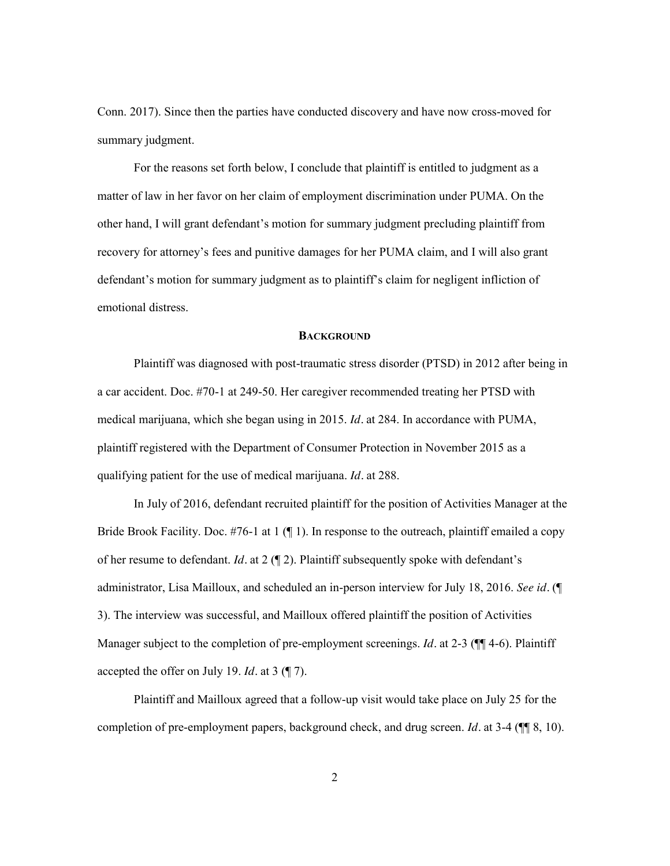Conn. 2017). Since then the parties have conducted discovery and have now cross-moved for summary judgment.

For the reasons set forth below, I conclude that plaintiff is entitled to judgment as a matter of law in her favor on her claim of employment discrimination under PUMA. On the other hand, I will grant defendant's motion for summary judgment precluding plaintiff from recovery for attorney's fees and punitive damages for her PUMA claim, and I will also grant defendant's motion for summary judgment as to plaintiff's claim for negligent infliction of emotional distress.

#### **BACKGROUND**

Plaintiff was diagnosed with post-traumatic stress disorder (PTSD) in 2012 after being in a car accident. Doc. #70-1 at 249-50. Her caregiver recommended treating her PTSD with medical marijuana, which she began using in 2015. *Id.* at 284. In accordance with PUMA, plaintiff registered with the Department of Consumer Protection in November 2015 as a qualifying patient for the use of medical marijuana. *Id.* at 288.

In July of 2016, defendant recruited plaintiff for the position of Activities Manager at the Bride Brook Facility. Doc.  $#76-1$  at 1 ( $\P$  1). In response to the outreach, plaintiff emailed a copy of her resume to defendant. *Id.* at 2 (¶ 2). Plaintiff subsequently spoke with defendant's administrator, Lisa Mailloux, and scheduled an in-person interview for July 18, 2016. *See id.* (¶ 3). The interview was successful, and Mailloux offered plaintiff the position of Activities Manager subject to the completion of pre-employment screenings. *Id.* at 2-3 ( $\P$  $\P$ 4-6). Plaintiff accepted the offer on July 19. *Id.* at 3 (¶ 7).

Plaintiff and Mailloux agreed that a follow-up visit would take place on July 25 for the completion of pre-employment papers, background check, and drug screen. *Id.* at 3-4 (¶¶ 8, 10).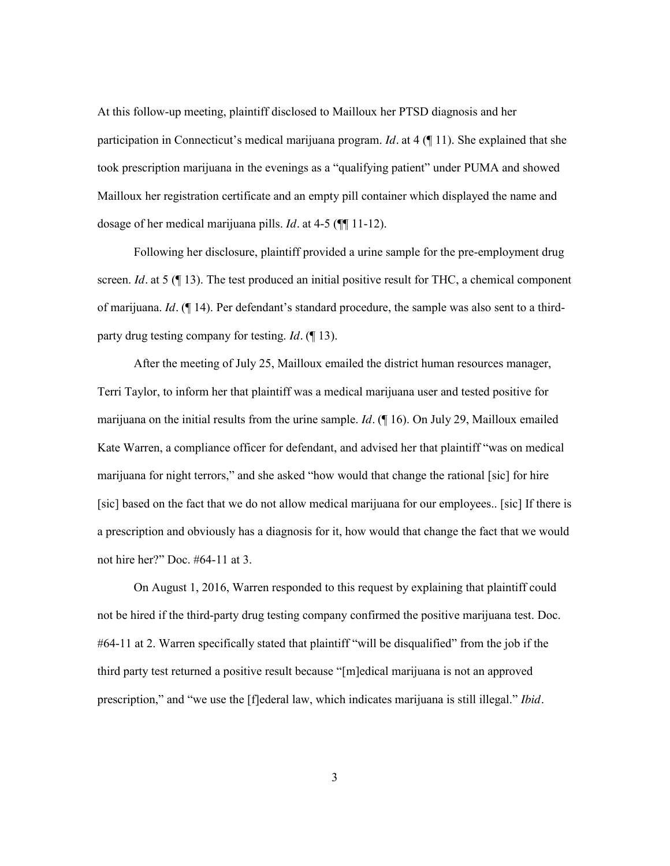At this follow-up meeting, plaintiff disclosed to Mailloux her PTSD diagnosis and her participation in Connecticut's medical marijuana program. *Id.* at 4 (¶ 11). She explained that she took prescription marijuana in the evenings as a "qualifying patient" under PUMA and showed Mailloux her registration certificate and an empty pill container which displayed the name and dosage of her medical marijuana pills. *Id.* at 4-5 (¶¶ 11-12).

Following her disclosure, plaintiff provided a urine sample for the pre-employment drug screen. *Id.* at 5 ( $\llbracket$  13). The test produced an initial positive result for THC, a chemical component of marijuana. *Id.* (¶ 14). Per defendant's standard procedure, the sample was also sent to a thirdparty drug testing company for testing. *Id.* (¶ 13).

After the meeting of July 25, Mailloux emailed the district human resources manager, Terri Taylor, to inform her that plaintiff was a medical marijuana user and tested positive for marijuana on the initial results from the urine sample. *Id.* (¶ 16). On July 29, Mailloux emailed Kate Warren, a compliance officer for defendant, and advised her that plaintiff "was on medical marijuana for night terrors," and she asked "how would that change the rational [sic] for hire [sic] based on the fact that we do not allow medical marijuana for our employees.. [sic] If there is a prescription and obviously has a diagnosis for it, how would that change the fact that we would not hire her?" Doc. #64-11 at 3.

On August 1, 2016, Warren responded to this request by explaining that plaintiff could not be hired if the third-party drug testing company confirmed the positive marijuana test. Doc. #64-11 at 2. Warren specifically stated that plaintiff "will be disqualified" from the job if the third party test returned a positive result because "[m]edical marijuana is not an approved prescription," and "we use the [f]ederal law, which indicates marijuana is still illegal." *Ibid.*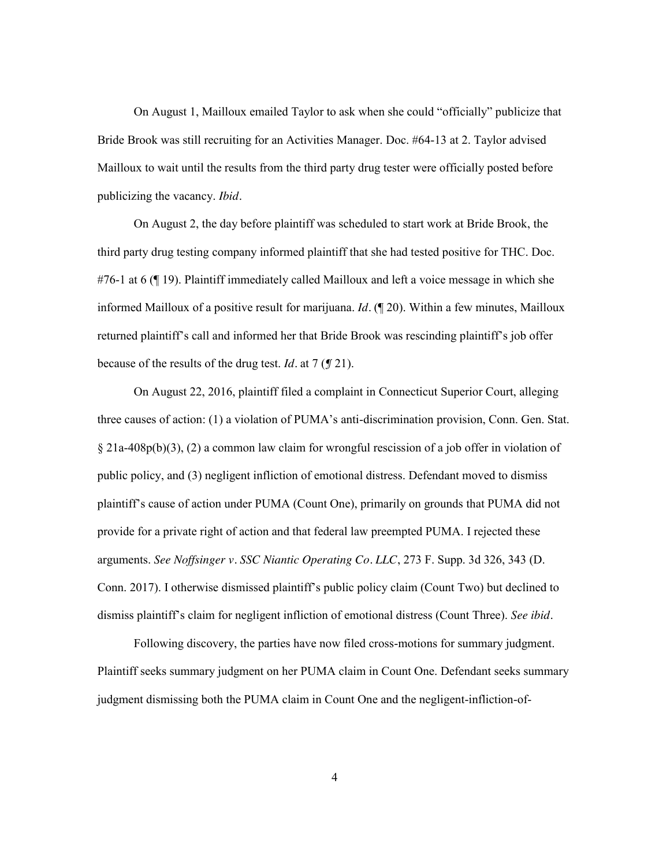On August 1, Mailloux emailed Taylor to ask when she could "officially" publicize that Bride Brook was still recruiting for an Activities Manager. Doc. #64-13 at 2. Taylor advised Mailloux to wait until the results from the third party drug tester were officially posted before publicizing the vacancy. *Ibid.*

On August 2, the day before plaintiff was scheduled to start work at Bride Brook, the third party drug testing company informed plaintiff that she had tested positive for THC. Doc. #76-1 at 6 (¶ 19). Plaintiff immediately called Mailloux and left a voice message in which she informed Mailloux of a positive result for marijuana. *Id.* (¶ 20). Within a few minutes, Mailloux returned plaintiff's call and informed her that Bride Brook was rescinding plaintiff's job offer because of the results of the drug test. *Id.* at 7 (*¶* 21).

On August 22, 2016, plaintiff filed a complaint in Connecticut Superior Court, alleging three causes of action: (1) a violation of PUMA's anti-discrimination provision, Conn. Gen. Stat. § 21a-408p(b)(3), (2) a common law claim for wrongful rescission of a job offer in violation of public policy, and (3) negligent infliction of emotional distress. Defendant moved to dismiss plaintiff's cause of action under PUMA (Count One), primarily on grounds that PUMA did not provide for a private right of action and that federal law preempted PUMA. I rejected these arguments. *See Noffsinger v. SSC Niantic Operating Co. LLC*, 273 F. Supp. 3d 326, 343 (D. Conn. 2017). I otherwise dismissed plaintiff's public policy claim (Count Two) but declined to dismiss plaintiff's claim for negligent infliction of emotional distress (Count Three). *See ibid.*

Following discovery, the parties have now filed cross-motions for summary judgment. Plaintiff seeks summary judgment on her PUMA claim in Count One. Defendant seeks summary judgment dismissing both the PUMA claim in Count One and the negligent-infliction-of-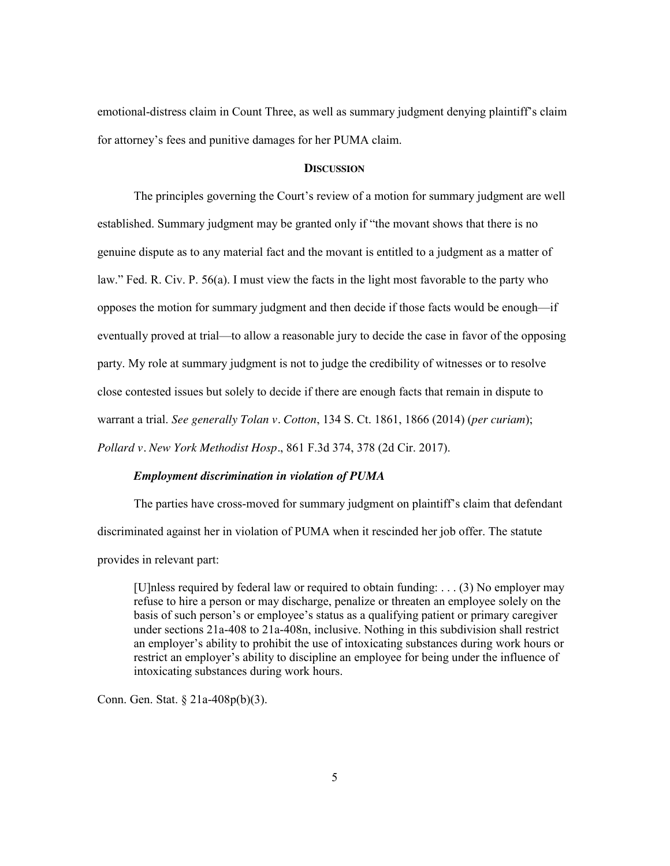emotional-distress claim in Count Three, as well as summary judgment denying plaintiff's claim for attorney's fees and punitive damages for her PUMA claim.

### **DISCUSSION**

The principles governing the Court's review of a motion for summary judgment are well established. Summary judgment may be granted only if "the movant shows that there is no genuine dispute as to any material fact and the movant is entitled to a judgment as a matter of law." Fed. R. Civ. P. 56(a). I must view the facts in the light most favorable to the party who opposes the motion for summary judgment and then decide if those facts would be enough—if eventually proved at trial—to allow a reasonable jury to decide the case in favor of the opposing party. My role at summary judgment is not to judge the credibility of witnesses or to resolve close contested issues but solely to decide if there are enough facts that remain in dispute to warrant a trial. *See generally Tolan v. Cotton*, 134 S. Ct. 1861, 1866 (2014) (*per curiam*); *Pollard v. New York Methodist Hosp.*, 861 F.3d 374, 378 (2d Cir. 2017).

#### *Employment discrimination in violation of PUMA*

The parties have cross-moved for summary judgment on plaintiff's claim that defendant discriminated against her in violation of PUMA when it rescinded her job offer. The statute provides in relevant part:

[U]nless required by federal law or required to obtain funding: . . . (3) No employer may refuse to hire a person or may discharge, penalize or threaten an employee solely on the basis of such person's or employee's status as a qualifying patient or primary caregiver under sections 21a-408 to 21a-408n, inclusive. Nothing in this subdivision shall restrict an employer's ability to prohibit the use of intoxicating substances during work hours or restrict an employer's ability to discipline an employee for being under the influence of intoxicating substances during work hours.

Conn. Gen. Stat. § 21a-408p(b)(3).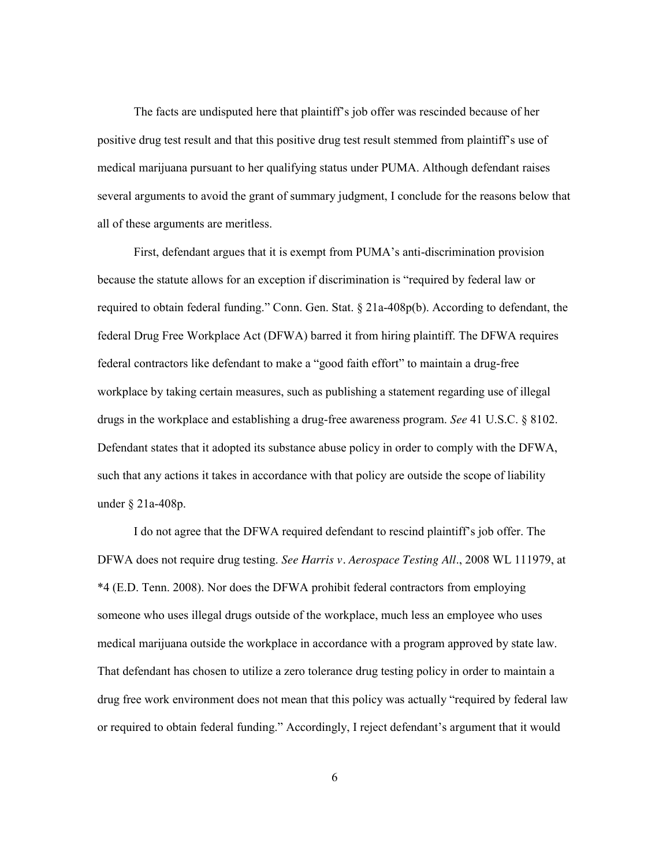The facts are undisputed here that plaintiff's job offer was rescinded because of her positive drug test result and that this positive drug test result stemmed from plaintiff's use of medical marijuana pursuant to her qualifying status under PUMA. Although defendant raises several arguments to avoid the grant of summary judgment, I conclude for the reasons below that all of these arguments are meritless.

First, defendant argues that it is exempt from PUMA's anti-discrimination provision because the statute allows for an exception if discrimination is "required by federal law or required to obtain federal funding." Conn. Gen. Stat. § 21a-408p(b). According to defendant, the federal Drug Free Workplace Act (DFWA) barred it from hiring plaintiff. The DFWA requires federal contractors like defendant to make a "good faith effort" to maintain a drug-free workplace by taking certain measures, such as publishing a statement regarding use of illegal drugs in the workplace and establishing a drug-free awareness program. *See* 41 U.S.C. § 8102. Defendant states that it adopted its substance abuse policy in order to comply with the DFWA, such that any actions it takes in accordance with that policy are outside the scope of liability under § 21a-408p.

I do not agree that the DFWA required defendant to rescind plaintiff's job offer. The DFWA does not require drug testing. *See Harris v. Aerospace Testing All*., 2008 WL 111979, at \*4 (E.D. Tenn. 2008). Nor does the DFWA prohibit federal contractors from employing someone who uses illegal drugs outside of the workplace, much less an employee who uses medical marijuana outside the workplace in accordance with a program approved by state law. That defendant has chosen to utilize a zero tolerance drug testing policy in order to maintain a drug free work environment does not mean that this policy was actually "required by federal law or required to obtain federal funding." Accordingly, I reject defendant's argument that it would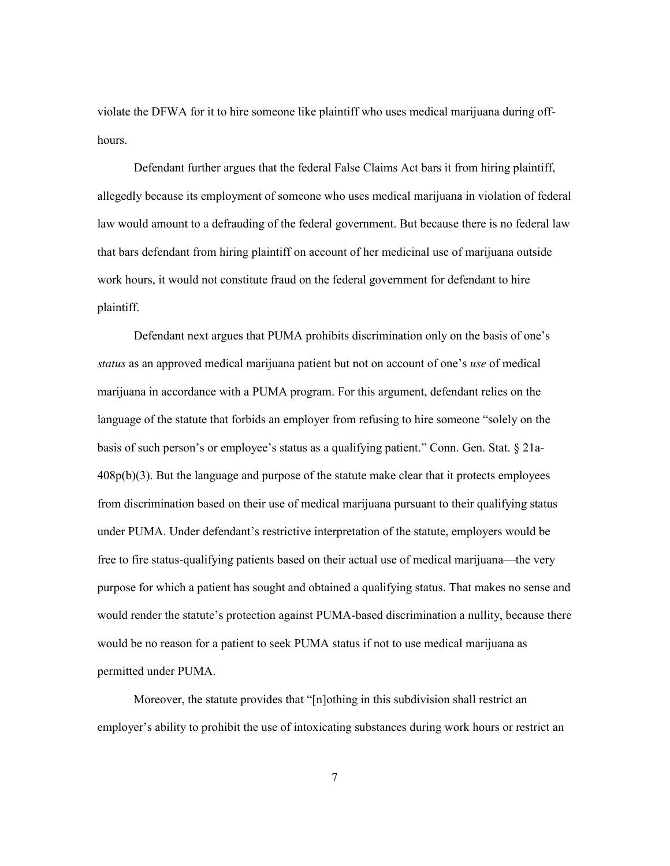violate the DFWA for it to hire someone like plaintiff who uses medical marijuana during offhours.

Defendant further argues that the federal False Claims Act bars it from hiring plaintiff, allegedly because its employment of someone who uses medical marijuana in violation of federal law would amount to a defrauding of the federal government. But because there is no federal law that bars defendant from hiring plaintiff on account of her medicinal use of marijuana outside work hours, it would not constitute fraud on the federal government for defendant to hire plaintiff.

Defendant next argues that PUMA prohibits discrimination only on the basis of one's *status* as an approved medical marijuana patient but not on account of one's *use* of medical marijuana in accordance with a PUMA program. For this argument, defendant relies on the language of the statute that forbids an employer from refusing to hire someone "solely on the basis of such person's or employee's status as a qualifying patient." Conn. Gen. Stat. § 21a-408p(b)(3). But the language and purpose of the statute make clear that it protects employees from discrimination based on their use of medical marijuana pursuant to their qualifying status under PUMA. Under defendant's restrictive interpretation of the statute, employers would be free to fire status-qualifying patients based on their actual use of medical marijuana—the very purpose for which a patient has sought and obtained a qualifying status. That makes no sense and would render the statute's protection against PUMA-based discrimination a nullity, because there would be no reason for a patient to seek PUMA status if not to use medical marijuana as permitted under PUMA.

Moreover, the statute provides that "[n]othing in this subdivision shall restrict an employer's ability to prohibit the use of intoxicating substances during work hours or restrict an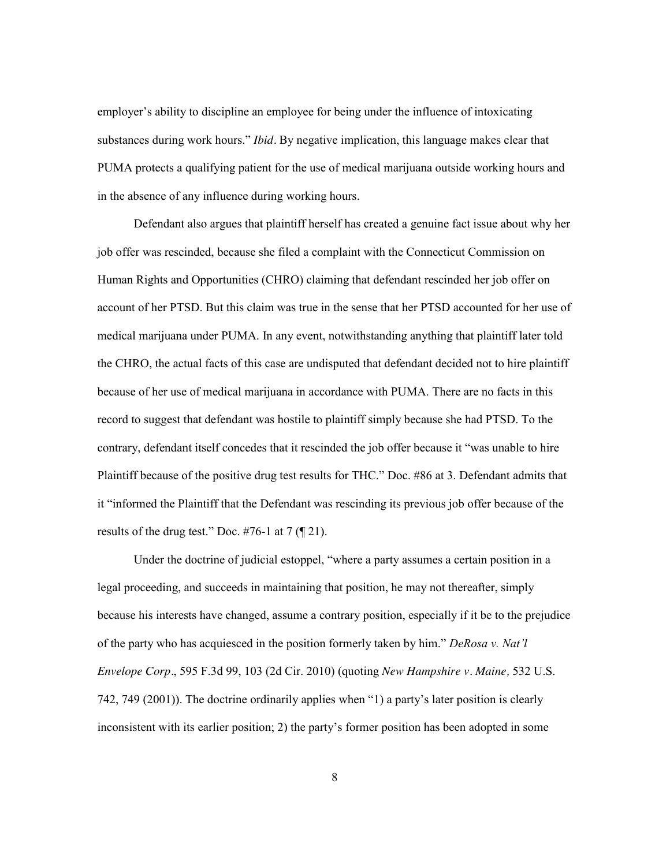employer's ability to discipline an employee for being under the influence of intoxicating substances during work hours." *Ibid.* By negative implication, this language makes clear that PUMA protects a qualifying patient for the use of medical marijuana outside working hours and in the absence of any influence during working hours.

Defendant also argues that plaintiff herself has created a genuine fact issue about why her job offer was rescinded, because she filed a complaint with the Connecticut Commission on Human Rights and Opportunities (CHRO) claiming that defendant rescinded her job offer on account of her PTSD. But this claim was true in the sense that her PTSD accounted for her use of medical marijuana under PUMA. In any event, notwithstanding anything that plaintiff later told the CHRO, the actual facts of this case are undisputed that defendant decided not to hire plaintiff because of her use of medical marijuana in accordance with PUMA. There are no facts in this record to suggest that defendant was hostile to plaintiff simply because she had PTSD. To the contrary, defendant itself concedes that it rescinded the job offer because it "was unable to hire Plaintiff because of the positive drug test results for THC." Doc. #86 at 3. Defendant admits that it "informed the Plaintiff that the Defendant was rescinding its previous job offer because of the results of the drug test." Doc. #76-1 at  $7 \text{ } (\P 21)$ .

Under the doctrine of judicial estoppel, "where a party assumes a certain position in a legal proceeding, and succeeds in maintaining that position, he may not thereafter, simply because his interests have changed, assume a contrary position, especially if it be to the prejudice of the party who has acquiesced in the position formerly taken by him." *DeRosa v. Nat'l Envelope Corp.*, 595 F.3d 99, 103 (2d Cir. 2010) (quoting *New Hampshire v. Maine,* 532 U.S. 742, 749 (2001)). The doctrine ordinarily applies when "1) a party's later position is clearly inconsistent with its earlier position; 2) the party's former position has been adopted in some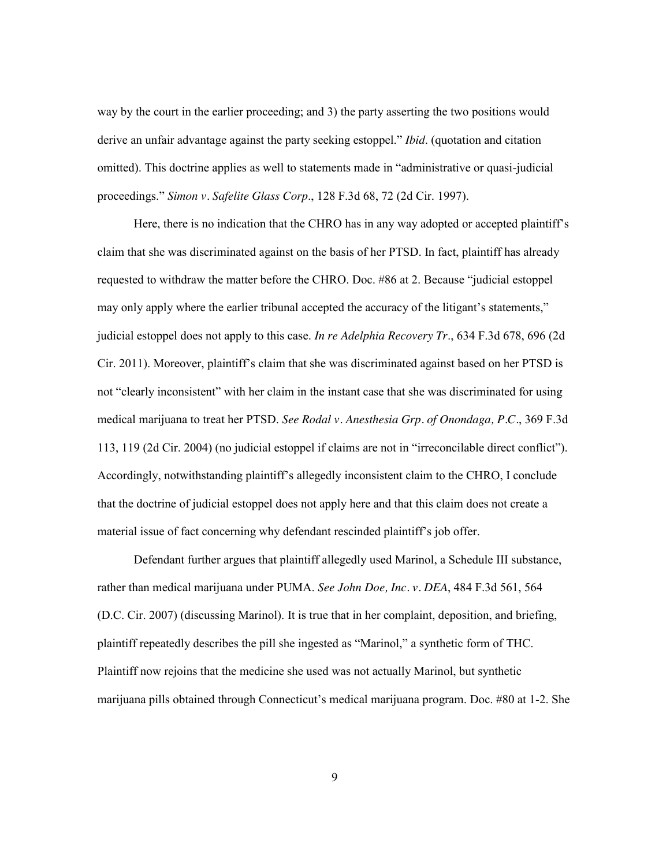way by the court in the earlier proceeding; and 3) the party asserting the two positions would derive an unfair advantage against the party seeking estoppel." *Ibid*. (quotation and citation omitted). This doctrine applies as well to statements made in "administrative or quasi-judicial proceedings." *Simon v. Safelite Glass Corp*., 128 F.3d 68, 72 (2d Cir. 1997).

Here, there is no indication that the CHRO has in any way adopted or accepted plaintiff's claim that she was discriminated against on the basis of her PTSD. In fact, plaintiff has already requested to withdraw the matter before the CHRO. Doc. #86 at 2. Because "judicial estoppel may only apply where the earlier tribunal accepted the accuracy of the litigant's statements," judicial estoppel does not apply to this case. *In re Adelphia Recovery Tr*., 634 F.3d 678, 696 (2d Cir. 2011). Moreover, plaintiff's claim that she was discriminated against based on her PTSD is not "clearly inconsistent" with her claim in the instant case that she was discriminated for using medical marijuana to treat her PTSD. *See Rodal v. Anesthesia Grp. of Onondaga, P.C.*, 369 F.3d 113, 119 (2d Cir. 2004) (no judicial estoppel if claims are not in "irreconcilable direct conflict"). Accordingly, notwithstanding plaintiff's allegedly inconsistent claim to the CHRO, I conclude that the doctrine of judicial estoppel does not apply here and that this claim does not create a material issue of fact concerning why defendant rescinded plaintiff's job offer.

Defendant further argues that plaintiff allegedly used Marinol, a Schedule III substance, rather than medical marijuana under PUMA. *See John Doe, Inc. v. DEA*, 484 F.3d 561, 564 (D.C. Cir. 2007) (discussing Marinol). It is true that in her complaint, deposition, and briefing, plaintiff repeatedly describes the pill she ingested as "Marinol," a synthetic form of THC. Plaintiff now rejoins that the medicine she used was not actually Marinol, but synthetic marijuana pills obtained through Connecticut's medical marijuana program. Doc. #80 at 1-2. She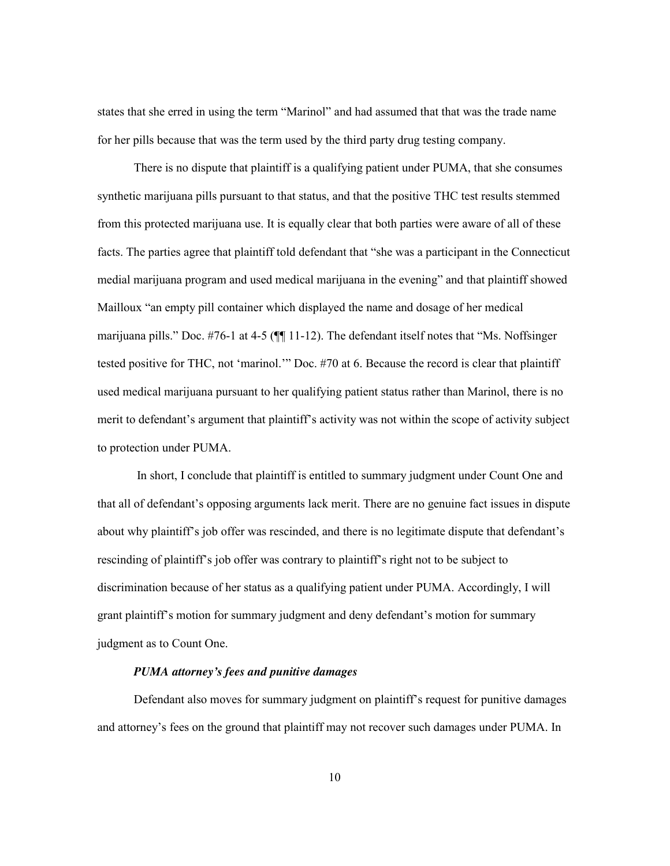states that she erred in using the term "Marinol" and had assumed that that was the trade name for her pills because that was the term used by the third party drug testing company.

There is no dispute that plaintiff is a qualifying patient under PUMA, that she consumes synthetic marijuana pills pursuant to that status, and that the positive THC test results stemmed from this protected marijuana use. It is equally clear that both parties were aware of all of these facts. The parties agree that plaintiff told defendant that "she was a participant in the Connecticut medial marijuana program and used medical marijuana in the evening" and that plaintiff showed Mailloux "an empty pill container which displayed the name and dosage of her medical marijuana pills." Doc. #76-1 at 4-5 (¶¶ 11-12). The defendant itself notes that "Ms. Noffsinger tested positive for THC, not 'marinol.'" Doc. #70 at 6. Because the record is clear that plaintiff used medical marijuana pursuant to her qualifying patient status rather than Marinol, there is no merit to defendant's argument that plaintiff's activity was not within the scope of activity subject to protection under PUMA.

In short, I conclude that plaintiff is entitled to summary judgment under Count One and that all of defendant's opposing arguments lack merit. There are no genuine fact issues in dispute about why plaintiff's job offer was rescinded, and there is no legitimate dispute that defendant's rescinding of plaintiff's job offer was contrary to plaintiff's right not to be subject to discrimination because of her status as a qualifying patient under PUMA. Accordingly, I will grant plaintiff's motion for summary judgment and deny defendant's motion for summary judgment as to Count One.

#### *PUMA attorney's fees and punitive damages*

Defendant also moves for summary judgment on plaintiff's request for punitive damages and attorney's fees on the ground that plaintiff may not recover such damages under PUMA. In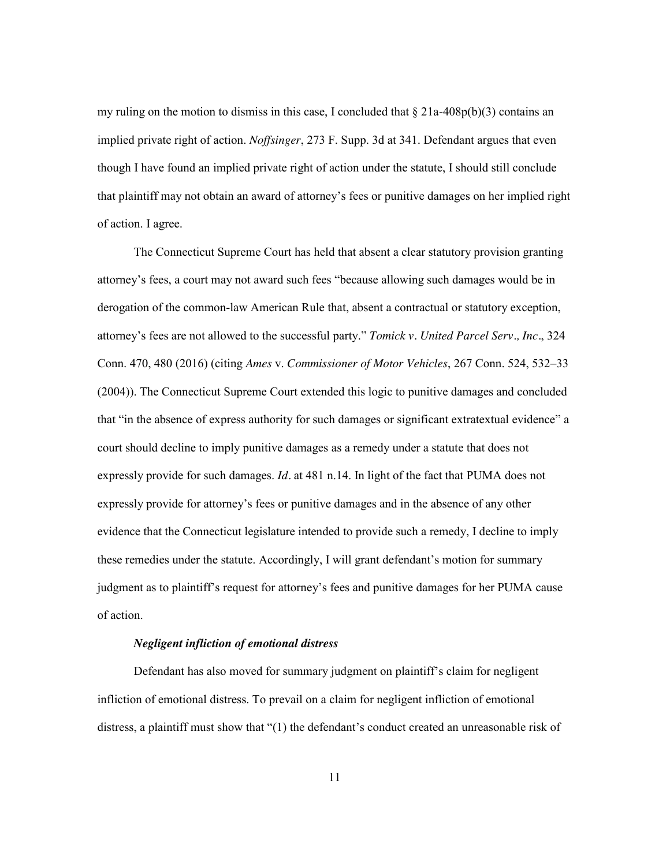my ruling on the motion to dismiss in this case. I concluded that  $\S$  21a-408p(b)(3) contains an implied private right of action. *Noffsinger*, 273 F. Supp. 3d at 341. Defendant argues that even though I have found an implied private right of action under the statute, I should still conclude that plaintiff may not obtain an award of attorney's fees or punitive damages on her implied right of action. I agree.

The Connecticut Supreme Court has held that absent a clear statutory provision granting attorney's fees, a court may not award such fees "because allowing such damages would be in derogation of the common-law American Rule that, absent a contractual or statutory exception, attorney's fees are not allowed to the successful party." *Tomick v. United Parcel Serv., Inc.*, 324 Conn. 470, 480 (2016) (citing *Ames* v. *Commissioner of Motor Vehicles*, 267 Conn. 524, 532–33 (2004)). The Connecticut Supreme Court extended this logic to punitive damages and concluded that "in the absence of express authority for such damages or significant extratextual evidence" a court should decline to imply punitive damages as a remedy under a statute that does not expressly provide for such damages. *Id.* at 481 n.14. In light of the fact that PUMA does not expressly provide for attorney's fees or punitive damages and in the absence of any other evidence that the Connecticut legislature intended to provide such a remedy, I decline to imply these remedies under the statute. Accordingly, I will grant defendant's motion for summary judgment as to plaintiff's request for attorney's fees and punitive damages for her PUMA cause of action.

#### *Negligent infliction of emotional distress*

Defendant has also moved for summary judgment on plaintiff's claim for negligent infliction of emotional distress. To prevail on a claim for negligent infliction of emotional distress, a plaintiff must show that "(1) the defendant's conduct created an unreasonable risk of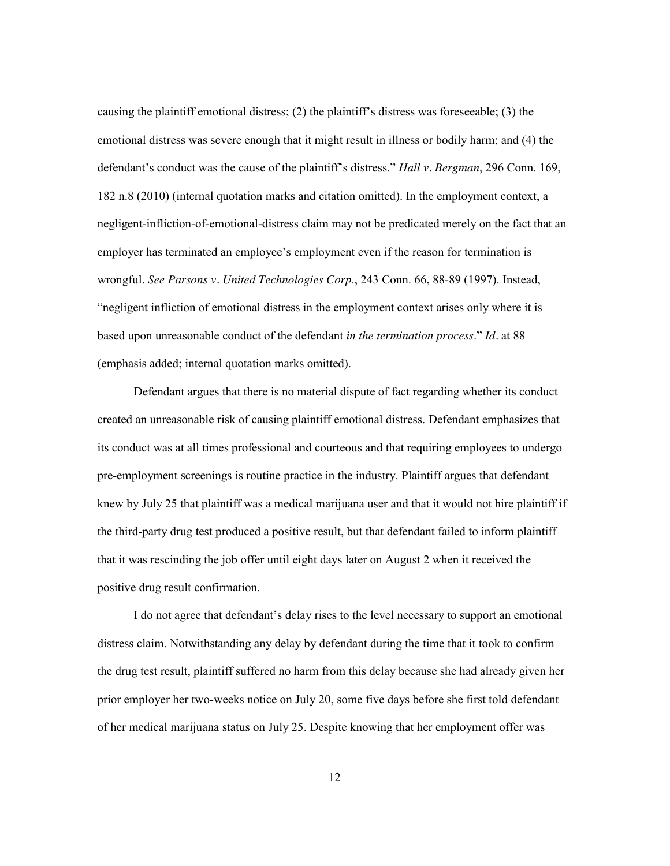causing the plaintiff emotional distress; (2) the plaintiff's distress was foreseeable; (3) the emotional distress was severe enough that it might result in illness or bodily harm; and (4) the defendant's conduct was the cause of the plaintiff's distress." *Hall v. Bergman*, 296 Conn. 169, 182 n.8 (2010) (internal quotation marks and citation omitted). In the employment context, a negligent-infliction-of-emotional-distress claim may not be predicated merely on the fact that an employer has terminated an employee's employment even if the reason for termination is wrongful. *See Parsons v. United Technologies Corp*., 243 Conn. 66, 88-89 (1997). Instead, "negligent infliction of emotional distress in the employment context arises only where it is based upon unreasonable conduct of the defendant *in the termination process*." *Id.* at 88 (emphasis added; internal quotation marks omitted).

Defendant argues that there is no material dispute of fact regarding whether its conduct created an unreasonable risk of causing plaintiff emotional distress. Defendant emphasizes that its conduct was at all times professional and courteous and that requiring employees to undergo pre-employment screenings is routine practice in the industry. Plaintiff argues that defendant knew by July 25 that plaintiff was a medical marijuana user and that it would not hire plaintiff if the third-party drug test produced a positive result, but that defendant failed to inform plaintiff that it was rescinding the job offer until eight days later on August 2 when it received the positive drug result confirmation.

I do not agree that defendant's delay rises to the level necessary to support an emotional distress claim. Notwithstanding any delay by defendant during the time that it took to confirm the drug test result, plaintiff suffered no harm from this delay because she had already given her prior employer her two-weeks notice on July 20, some five days before she first told defendant of her medical marijuana status on July 25. Despite knowing that her employment offer was